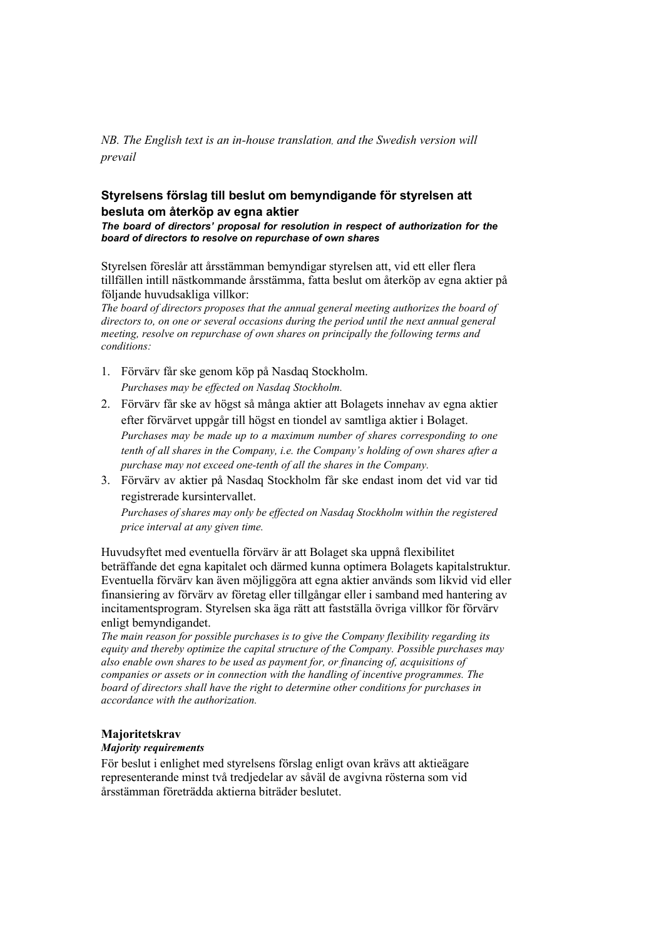*NB. The English text is an in-house translation, and the Swedish version will prevail*

## **Styrelsens förslag till beslut om bemyndigande för styrelsen att besluta om återköp av egna aktier**

*The board of directors' proposal for resolution in respect of authorization for the board of directors to resolve on repurchase of own shares*

Styrelsen föreslår att årsstämman bemyndigar styrelsen att, vid ett eller flera tillfällen intill nästkommande årsstämma, fatta beslut om återköp av egna aktier på följande huvudsakliga villkor:

*The board of directors proposes that the annual general meeting authorizes the board of directors to, on one or several occasions during the period until the next annual general meeting, resolve on repurchase of own shares on principally the following terms and conditions:*

- 1. Förvärv får ske genom köp på Nasdaq Stockholm. *Purchases may be effected on Nasdaq Stockholm.*
- 2. Förvärv får ske av högst så många aktier att Bolagets innehav av egna aktier efter förvärvet uppgår till högst en tiondel av samtliga aktier i Bolaget. *Purchases may be made up to a maximum number of shares corresponding to one tenth of all shares in the Company, i.e. the Company's holding of own shares after a purchase may not exceed one-tenth of all the shares in the Company.*
- 3. Förvärv av aktier på Nasdaq Stockholm får ske endast inom det vid var tid registrerade kursintervallet.

*Purchases of shares may only be effected on Nasdaq Stockholm within the registered price interval at any given time.* 

Huvudsyftet med eventuella förvärv är att Bolaget ska uppnå flexibilitet beträffande det egna kapitalet och därmed kunna optimera Bolagets kapitalstruktur. Eventuella förvärv kan även möjliggöra att egna aktier används som likvid vid eller finansiering av förvärv av företag eller tillgångar eller i samband med hantering av incitamentsprogram. Styrelsen ska äga rätt att fastställa övriga villkor för förvärv enligt bemyndigandet.

*The main reason for possible purchases is to give the Company flexibility regarding its equity and thereby optimize the capital structure of the Company. Possible purchases may also enable own shares to be used as payment for, or financing of, acquisitions of companies or assets or in connection with the handling of incentive programmes. The board of directors shall have the right to determine other conditions for purchases in accordance with the authorization.*

## **Majoritetskrav**

## *Majority requirements*

För beslut i enlighet med styrelsens förslag enligt ovan krävs att aktieägare representerande minst två tredjedelar av såväl de avgivna rösterna som vid årsstämman företrädda aktierna biträder beslutet.